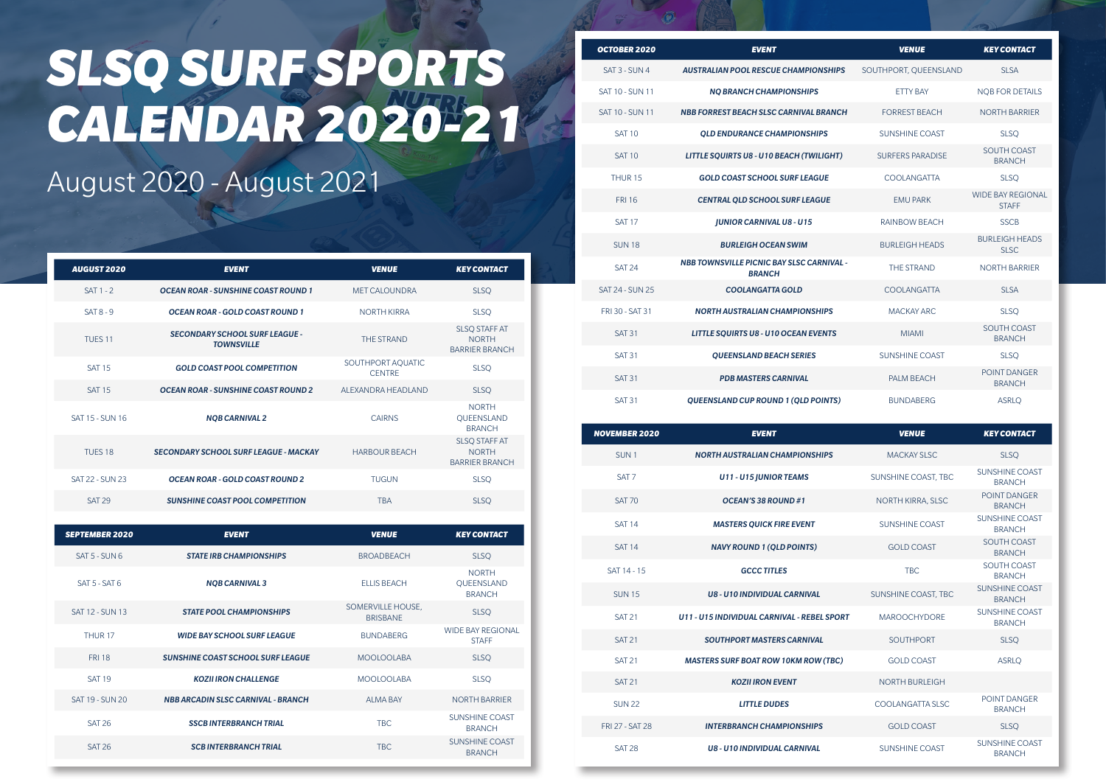| OCTOBER 2020           | <b>EVENT</b>                                                      | <b>VENUE</b>            | <b>KEY CONTACT</b>                       |
|------------------------|-------------------------------------------------------------------|-------------------------|------------------------------------------|
| SAT 3 - SUN 4          | <b>AUSTRALIAN POOL RESCUE CHAMPIONSHIPS</b>                       | SOUTHPORT, QUEENSLAND   | SI SA                                    |
| <b>SAT 10 - SUN 11</b> | <b>NO BRANCH CHAMPIONSHIPS</b>                                    | <b>FTTY BAY</b>         | <b>NOB FOR DETAILS</b>                   |
| <b>SAT 10 - SUN 11</b> | <b>NBB FORREST BEACH SLSC CARNIVAL BRANCH</b>                     | <b>FORREST BEACH</b>    | <b>NORTH BARRIER</b>                     |
| <b>SAT 10</b>          | <b>OLD ENDURANCE CHAMPIONSHIPS</b>                                | SUNSHINE COAST          | <b>SLSO</b>                              |
| <b>SAT 10</b>          | LITTLE SQUIRTS U8 - U10 BEACH (TWILIGHT)                          | <b>SURFERS PARADISE</b> | SOUTH COAST<br><b>BRANCH</b>             |
| THUR <sub>15</sub>     | <b>GOLD COAST SCHOOL SURF LEAGUE</b>                              | COOLANGATTA             | <b>SLSO</b>                              |
| <b>FRI 16</b>          | <b>CENTRAL QLD SCHOOL SURF LEAGUE</b>                             | <b>FMU PARK</b>         | <b>WIDE BAY REGIONAL</b><br><b>STAFF</b> |
| <b>SAT 17</b>          | <b>JUNIOR CARNIVAL U8 - U15</b>                                   | <b>RAINBOW BEACH</b>    | <b>SSCB</b>                              |
| SUN <sub>18</sub>      | <b>BURLEIGH OCEAN SWIM</b>                                        | <b>BURLEIGH HEADS</b>   | <b>BURLEIGH HEADS</b><br>SLSC.           |
| <b>SAT 24</b>          | <b>NBB TOWNSVILLE PICNIC BAY SLSC CARNIVAL -</b><br><b>BRANCH</b> | <b>THE STRAND</b>       | <b>NORTH BARRIER</b>                     |
| SAT 24 - SUN 25        | <b>COOLANGATTA GOLD</b>                                           | COOLANGATTA             | SI SA                                    |
| FRI 30 - SAT 31        | <b>NORTH AUSTRALIAN CHAMPIONSHIPS</b>                             | <b>MACKAY ARC</b>       | <b>SLSQ</b>                              |
| <b>SAT 31</b>          | <b>LITTLE SQUIRTS U8 - U10 OCEAN EVENTS</b>                       | <b>MIAMI</b>            | SOUTH COAST<br><b>BRANCH</b>             |
| <b>SAT 31</b>          | <b>OUEENSLAND BEACH SERIES</b>                                    | SUNSHINE COAST          | <b>SLSQ</b>                              |
| <b>SAT 31</b>          | <b>PDB MASTERS CARNIVAL</b>                                       | PAI M BFACH             | POINT DANGER<br><b>BRANCH</b>            |
| <b>SAT 31</b>          | QUEENSLAND CUP ROUND 1 (QLD POINTS)                               | <b>BUNDABERG</b>        | <b>ASRLO</b>                             |

| <b>NOVEMBER 2020</b>   | <b>EVENT</b>                                | <b>VENUE</b>          | <b>KEY CONTACT</b>                     |
|------------------------|---------------------------------------------|-----------------------|----------------------------------------|
| SUN <sub>1</sub>       | <b>NORTH AUSTRALIAN CHAMPIONSHIPS</b>       | <b>MACKAY SLSC</b>    | <b>SLSO</b>                            |
| SAT <sub>7</sub>       | <b>U11 - U15 JUNIOR TEAMS</b>               | SUNSHINE COAST, TBC   | <b>SUNSHINE COAST</b><br><b>BRANCH</b> |
| <b>SAT 70</b>          | OCEAN'S 38 ROUND #1                         | NORTH KIRRA, SLSC     | POINT DANGER<br><b>BRANCH</b>          |
| <b>SAT 14</b>          | <b>MASTERS QUICK FIRE EVENT</b>             | <b>SUNSHINE COAST</b> | <b>SUNSHINE COAST</b><br><b>BRANCH</b> |
| <b>SAT 14</b>          | <b>NAVY ROUND 1 (QLD POINTS)</b>            | <b>GOLD COAST</b>     | <b>SOUTH COAST</b><br><b>BRANCH</b>    |
| SAT 14 - 15            | <b>GCCC TITLES</b>                          | <b>TBC</b>            | SOUTH COAST<br><b>BRANCH</b>           |
| <b>SUN15</b>           | <b>U8 - U10 INDIVIDUAL CARNIVAL</b>         | SUNSHINE COAST. TBC   | <b>SUNSHINE COAST</b><br><b>BRANCH</b> |
| <b>SAT 21</b>          | U11 - U15 INDIVIDUAL CARNIVAL - REBEL SPORT | <b>MAROOCHYDORF</b>   | <b>SUNSHINE COAST</b><br><b>BRANCH</b> |
| <b>SAT 21</b>          | <b>SOUTHPORT MASTERS CARNIVAL</b>           | <b>SOUTHPORT</b>      | <b>SLSQ</b>                            |
| <b>SAT 21</b>          | <b>MASTERS SURF BOAT ROW 10KM ROW (TBC)</b> | <b>GOLD COAST</b>     | <b>ASRLO</b>                           |
| <b>SAT 21</b>          | <b>KOZII IRON EVENT</b>                     | <b>NORTH BURLEIGH</b> |                                        |
| <b>SUN 22</b>          | <b>LITTLE DUDES</b>                         | COOLANGATTA SLSC      | POINT DANGER<br><b>BRANCH</b>          |
| <b>FRI 27 - SAT 28</b> | <b>INTERBRANCH CHAMPIONSHIPS</b>            | <b>GOLD COAST</b>     | <b>SLSQ</b>                            |
| <b>SAT 28</b>          | <b>U8 - U10 INDIVIDUAL CARNIVAL</b>         | SUNSHINE COAST        | <b>SUNSHINE COAST</b><br><b>BRANCH</b> |

# *SLSQ SURF SPORTS CALENDAR 2020-21*

#### August 2020 - August 2021

| <b>AUGUST 2020</b> | <b>EVENT</b>                                               | <b>VENUE</b>                       | <b>KEY CONTACT</b>                                            |
|--------------------|------------------------------------------------------------|------------------------------------|---------------------------------------------------------------|
| $SAT 1 - 2$        | <b>OCEAN ROAR - SUNSHINE COAST ROUND 1</b>                 | <b>MET CALOUNDRA</b>               | <b>SLSQ</b>                                                   |
| $SAT 8 - 9$        | <b>OCEAN ROAR - GOLD COAST ROUND 1</b>                     | <b>NORTH KIRRA</b>                 | <b>SLSQ</b>                                                   |
| TUFS <sub>11</sub> | <b>SECONDARY SCHOOL SURF LEAGUE -</b><br><b>TOWNSVILLE</b> | <b>THE STRAND</b>                  | <b>SLSQ STAFF AT</b><br><b>NORTH</b><br><b>BARRIER BRANCH</b> |
| <b>SAT 15</b>      | <b>GOLD COAST POOL COMPETITION</b>                         | SOUTHPORT AQUATIC<br><b>CENTRE</b> | <b>SLSQ</b>                                                   |
| <b>SAT 15</b>      | <b>OCEAN ROAR - SUNSHINE COAST ROUND 2</b>                 | ALEXANDRA HEADLAND                 | <b>SLSQ</b>                                                   |
| SAT 15 - SUN 16    | <b>NOB CARNIVAL 2</b>                                      | <b>CAIRNS</b>                      | <b>NORTH</b><br>QUEENSLAND<br><b>BRANCH</b>                   |
| TUFS <sub>18</sub> | <b>SECONDARY SCHOOL SURF LEAGUE - MACKAY</b>               | <b>HARBOUR BEACH</b>               | <b>SLSQ STAFF AT</b><br><b>NORTH</b><br><b>BARRIER BRANCH</b> |
| SAT 22 - SUN 23    | <b>OCEAN ROAR - GOLD COAST ROUND 2</b>                     | <b>TUGUN</b>                       | <b>SLSQ</b>                                                   |
| <b>SAT 29</b>      | SUNSHINE COAST POOL COMPETITION                            | <b>TRA</b>                         | <b>SLSQ</b>                                                   |

| <b>SEPTEMBER 2020</b> | <b>EVENT</b>                              | <b>VENUE</b>                         | <b>KEY CONTACT</b>                          |
|-----------------------|-------------------------------------------|--------------------------------------|---------------------------------------------|
| $SAT 5 - SIM 6$       | <b>STATE IRB CHAMPIONSHIPS</b>            | <b>BROADBFACH</b>                    | <b>SLSO</b>                                 |
| $SAT 5 - SAT 6$       | <b>NOB CARNIVAL 3</b>                     | <b>FILIS BEACH</b>                   | <b>NORTH</b><br>QUEENSLAND<br><b>BRANCH</b> |
| SAT 12 - SUN 13       | <b>STATE POOL CHAMPIONSHIPS</b>           | SOMERVILLE HOUSE.<br><b>BRISBANF</b> | <b>SLSQ</b>                                 |
| <b>THUR 17</b>        | <b>WIDE BAY SCHOOL SURF LEAGUE</b>        | <b>BUNDARERG</b>                     | <b>WIDE BAY REGIONAL</b><br><b>STAFF</b>    |
| <b>FRI 18</b>         | <b>SUNSHINE COAST SCHOOL SURF LEAGUE</b>  | MOOLOOLABA                           | <b>SLSQ</b>                                 |
| <b>SAT 19</b>         | <b>KOZILIRON CHALL ENGE</b>               | MOOLOOLABA                           | <b>SLSQ</b>                                 |
| SAT 19 - SUN 20       | <b>NBB ARCADIN SLSC CARNIVAL - BRANCH</b> | AI MA RAY                            | <b>NORTH BARRIER</b>                        |
| <b>SAT 26</b>         | <b>SSCRINTERBRANCH TRIAL</b>              | TRC.                                 | <b>SUNSHINE COAST</b><br><b>BRANCH</b>      |
| SAT 26                | <b>SCB INTERBRANCH TRIAL</b>              | <b>TBC</b>                           | <b>SUNSHINE COAST</b><br><b>BRANCH</b>      |
|                       |                                           |                                      |                                             |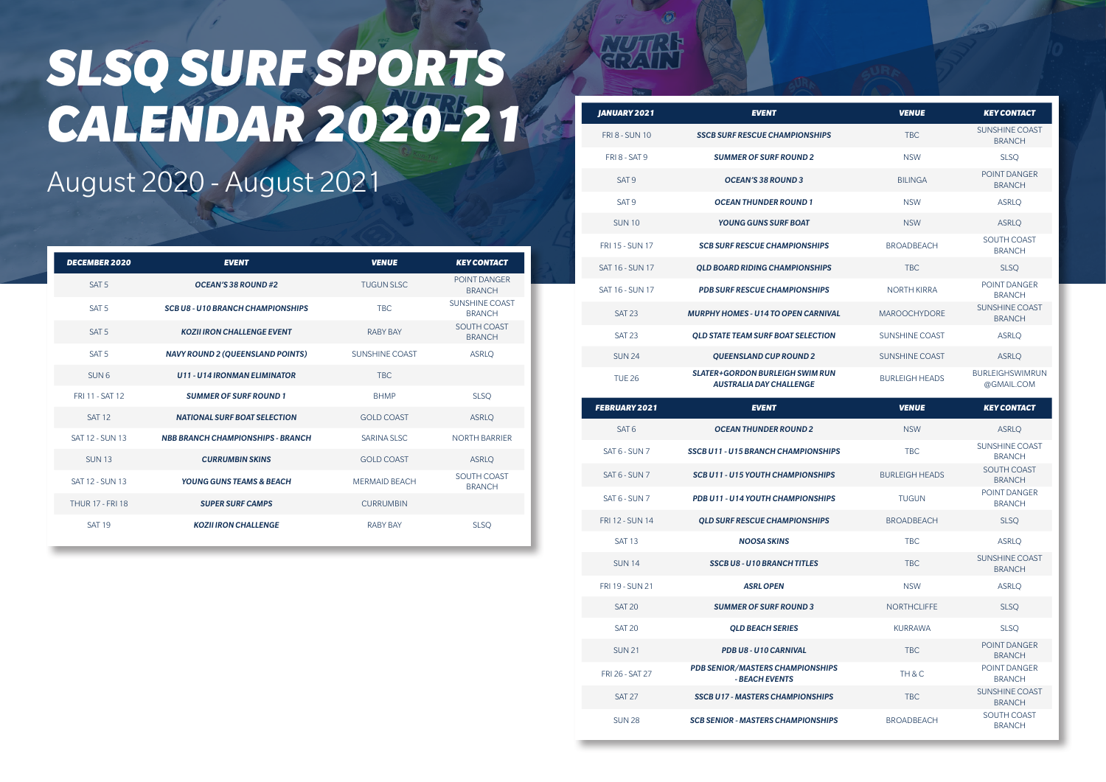| JANUARY 2021           | <b>EVENT</b>                                                      | <b>VENUE</b>          | <b>KEY CONTACT</b>                   |
|------------------------|-------------------------------------------------------------------|-----------------------|--------------------------------------|
| <b>FRI 8 - SUN 10</b>  | <b>SSCB SURF RESCUE CHAMPIONSHIPS</b>                             | <b>TBC</b>            | SUNSHINE COAST<br><b>BRANCH</b>      |
| <b>FRI 8 - SAT 9</b>   | <b>SUMMER OF SURF ROUND 2</b>                                     | <b>NSW</b>            | <b>SLSO</b>                          |
| SAT <sub>9</sub>       | <b>OCEAN'S 38 ROUND 3</b>                                         | <b>BILINGA</b>        | POINT DANGER<br><b>BRANCH</b>        |
| SAT <sub>9</sub>       | <b>OCEAN THUNDER ROUND 1</b>                                      | <b>NSW</b>            | <b>ASRLO</b>                         |
| <b>SUN10</b>           | YOUNG GUNS SURF BOAT                                              | <b>NSW</b>            | <b>ASRLO</b>                         |
| <b>FRI 15 - SUN 17</b> | <b>SCB SURF RESCUE CHAMPIONSHIPS</b>                              | <b>BROADBFACH</b>     | SOUTH COAST<br><b>BRANCH</b>         |
| <b>SAT 16 - SUN 17</b> | <b>OLD BOARD RIDING CHAMPIONSHIPS</b>                             | <b>TBC</b>            | <b>SLSO</b>                          |
| <b>SAT 16 - SUN 17</b> | <b>PDB SURF RESCUE CHAMPIONSHIPS</b>                              | <b>NORTH KIRRA</b>    | POINT DANGER<br><b>BRANCH</b>        |
| <b>SAT 23</b>          | <b>MURPHY HOMES - U14 TO OPEN CARNIVAL</b>                        | <b>MAROOCHYDORF</b>   | SUNSHINE COAST<br><b>BRANCH</b>      |
| <b>SAT 23</b>          | <b>OLD STATE TEAM SURF BOAT SELECTION</b>                         | <b>SUNSHINE COAST</b> | <b>ASRLO</b>                         |
| <b>SUN 24</b>          | <b>OUEENSLAND CUP ROUND 2</b>                                     | SUNSHINE COAST        | <b>ASRLO</b>                         |
| <b>TUF26</b>           | SLATER+GORDON BURLEIGH SWIM RUN<br><b>AUSTRALIA DAY CHALLENGE</b> | <b>BURLEIGH HEADS</b> | <b>BURLEIGHSWIMRUN</b><br>@GMAIL.COM |

| <b>FEBRUARY 2021</b>   | <b>EVENT</b>                                              | <b>VENUE</b>           | <b>KEY CONTACT</b>                     |
|------------------------|-----------------------------------------------------------|------------------------|----------------------------------------|
| SAT <sub>6</sub>       | <b>OCEAN THUNDER ROUND 2</b>                              | <b>NSW</b>             | <b>ASRLO</b>                           |
| SAT 6 - SUN 7          | <b>SSCB U11 - U15 BRANCH CHAMPIONSHIPS</b>                | <b>TBC</b>             | <b>SUNSHINE COAST</b><br><b>BRANCH</b> |
| SAT 6 - SUN 7          | <b>SCB U11 - U15 YOUTH CHAMPIONSHIPS</b>                  | <b>BURI FIGH HEADS</b> | SOUTH COAST<br><b>BRANCH</b>           |
| SAT 6 - SUN 7          | PDB U11 - U14 YOUTH CHAMPIONSHIPS                         | <b>TUGUN</b>           | POINT DANGER<br><b>BRANCH</b>          |
| <b>FRI 12 - SUN 14</b> | <b>QLD SURF RESCUE CHAMPIONSHIPS</b>                      | <b>BROADBFACH</b>      | <b>SLSQ</b>                            |
| <b>SAT 13</b>          | <b>NOOSA SKINS</b>                                        | <b>TBC</b>             | <b>ASRLO</b>                           |
| <b>SUN14</b>           | <b>SSCB U8 - U10 BRANCH TITLES</b>                        | <b>TBC</b>             | <b>SUNSHINE COAST</b><br><b>BRANCH</b> |
| FRI 19 - SUN 21        | <b>ASRL OPEN</b>                                          | <b>NSW</b>             | <b>ASRLO</b>                           |
| <b>SAT 20</b>          | <b>SUMMER OF SURF ROUND 3</b>                             | <b>NORTHCLIFFE</b>     | <b>SLSO</b>                            |
| <b>SAT 20</b>          | <b>OLD BEACH SERIES</b>                                   | <b>KURRAWA</b>         | <b>SLSQ</b>                            |
| <b>SUN 21</b>          | PDB U8 - U10 CARNIVAL                                     | <b>TBC</b>             | POINT DANGER<br><b>BRANCH</b>          |
| FRI 26 - SAT 27        | <b>PDB SENIOR/MASTERS CHAMPIONSHIPS</b><br>- BEACH EVENTS | TH & C                 | POINT DANGER<br><b>BRANCH</b>          |
| <b>SAT 27</b>          | <b>SSCB U17 - MASTERS CHAMPIONSHIPS</b>                   | <b>TBC</b>             | <b>SUNSHINE COAST</b><br><b>BRANCH</b> |
| <b>SUN 28</b>          | <b>SCB SENIOR - MASTERS CHAMPIONSHIPS</b>                 | <b>BROADBFACH</b>      | SOUTH COAST<br><b>BRANCH</b>           |

# *SLSQ SURF SPORTS CALENDAR 2020-21*

#### August 2020 - August 2021

| <b>DECEMBER 2020</b>    | <b>EVENT</b>                             | <b>VENUE</b>         | <b>KEY CONTACT</b>                     |
|-------------------------|------------------------------------------|----------------------|----------------------------------------|
| SAT <sub>5</sub>        | OCEAN'S 38 ROUND#2                       | <b>TUGUN SLSC</b>    | POINT DANGER<br><b>BRANCH</b>          |
| SAT <sub>5</sub>        | <b>SCB U8 - U10 BRANCH CHAMPIONSHIPS</b> | <b>TBC</b>           | <b>SUNSHINE COAST</b><br><b>BRANCH</b> |
| SAT <sub>5</sub>        | <b>KOZII IRON CHALLENGE EVENT</b>        | <b>RABY BAY</b>      | SOUTH COAST<br><b>BRANCH</b>           |
| SAT <sub>5</sub>        | <b>NAVY ROUND 2 (QUEENSLAND POINTS)</b>  | SUNSHINE COAST       | <b>ASRLO</b>                           |
| SUN <sub>6</sub>        | <b>U11 - U14 IRONMAN ELIMINATOR</b>      | <b>TBC</b>           |                                        |
| FRI 11 - SAT 12         | <b>SUMMER OF SURF ROUND 1</b>            | <b>BHMP</b>          | <b>SLSQ</b>                            |
| <b>SAT 12</b>           | <b>NATIONAL SURF BOAT SELECTION</b>      | <b>GOLD COAST</b>    | <b>ASRLO</b>                           |
| <b>SAT 12 - SUN 13</b>  | <b>NBB BRANCH CHAMPIONSHIPS - BRANCH</b> | SARINA SI SC         | <b>NORTH BARRIER</b>                   |
| <b>SUN13</b>            | <b>CURRUMBIN SKINS</b>                   | <b>GOLD COAST</b>    | <b>ASRLQ</b>                           |
| SAT 12 - SUN 13         | <b>YOUNG GUNS TEAMS &amp; BEACH</b>      | <b>MFRMAID BFACH</b> | SOUTH COAST<br><b>BRANCH</b>           |
| <b>THUR 17 - FRI 18</b> | <b>SUPER SURF CAMPS</b>                  | <b>CURRUMBIN</b>     |                                        |
| <b>SAT 19</b>           | <b>KOZII IRON CHALLENGE</b>              | <b>RABY BAY</b>      | <b>SLSQ</b>                            |